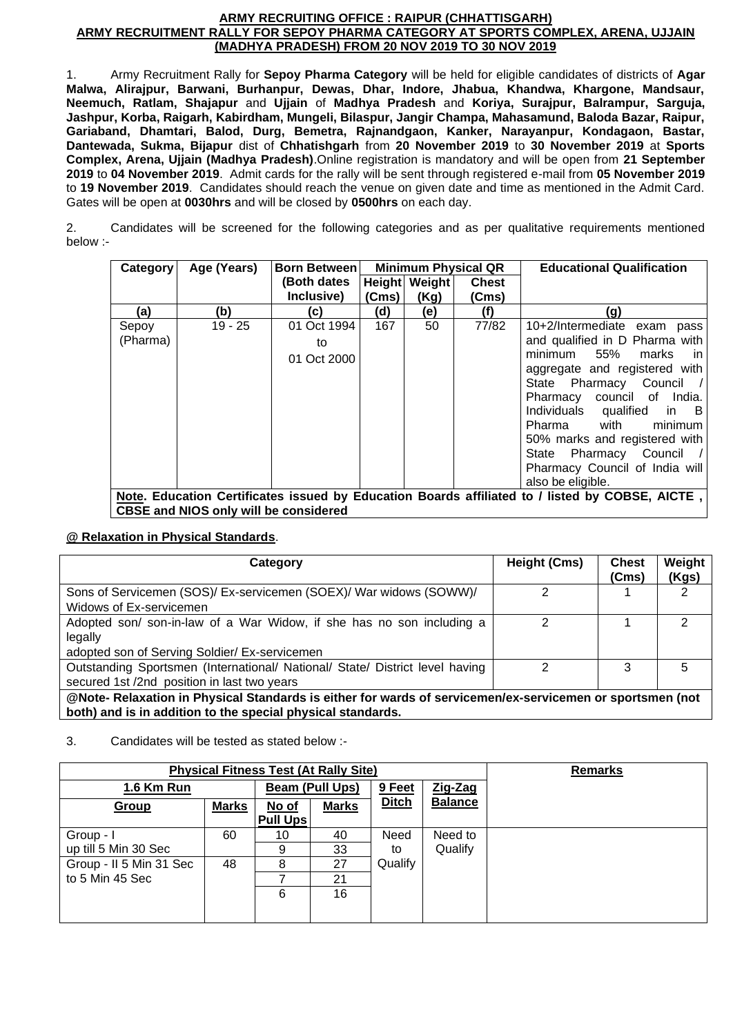#### **ARMY RECRUITING OFFICE : RAIPUR (CHHATTISGARH) ARMY RECRUITMENT RALLY FOR SEPOY PHARMA CATEGORY AT SPORTS COMPLEX, ARENA, UJJAIN (MADHYA PRADESH) FROM 20 NOV 2019 TO 30 NOV 2019**

1. Army Recruitment Rally for **Sepoy Pharma Category** will be held for eligible candidates of districts of **Agar Malwa, Alirajpur, Barwani, Burhanpur, Dewas, Dhar, Indore, Jhabua, Khandwa, Khargone, Mandsaur, Neemuch, Ratlam, Shajapur** and **Ujjain** of **Madhya Pradesh** and **Koriya, Surajpur, Balrampur, Sarguja, Jashpur, Korba, Raigarh, Kabirdham, Mungeli, Bilaspur, Jangir Champa, Mahasamund, Baloda Bazar, Raipur, Gariaband, Dhamtari, Balod, Durg, Bemetra, Rajnandgaon, Kanker, Narayanpur, Kondagaon, Bastar, Dantewada, Sukma, Bijapur** dist of **Chhatishgarh** from **20 November 2019** to **30 November 2019** at **Sports Complex, Arena, Ujjain (Madhya Pradesh)**.Online registration is mandatory and will be open from **21 September 2019** to **04 November 2019**. Admit cards for the rally will be sent through registered e-mail from **05 November 2019** to **19 November 2019**. Candidates should reach the venue on given date and time as mentioned in the Admit Card. Gates will be open at **0030hrs** and will be closed by **0500hrs** on each day.

2. Candidates will be screened for the following categories and as per qualitative requirements mentioned below :-

| Category          | Age (Years)                                                                                                                                     | Born Between                     |       |                       | <b>Minimum Physical QR</b> | <b>Educational Qualification</b>                                                                                                                                                                                                                                                   |  |  |
|-------------------|-------------------------------------------------------------------------------------------------------------------------------------------------|----------------------------------|-------|-----------------------|----------------------------|------------------------------------------------------------------------------------------------------------------------------------------------------------------------------------------------------------------------------------------------------------------------------------|--|--|
|                   |                                                                                                                                                 | (Both dates<br>Inclusive)        | (Cms) | Height Weight<br>(Kg) | <b>Chest</b><br>(Cms)      |                                                                                                                                                                                                                                                                                    |  |  |
| (a)               | (b)                                                                                                                                             | (C)                              | (d)   | (e)                   | (f)                        | (g)                                                                                                                                                                                                                                                                                |  |  |
| Sepoy<br>(Pharma) | $19 - 25$                                                                                                                                       | 01 Oct 1994<br>to<br>01 Oct 2000 | 167   | 50                    | 77/82                      | 10+2/Intermediate exam pass<br>and qualified in D Pharma with<br>minimum 55%<br>marks<br>ın<br>aggregate and registered with<br>State Pharmacy Council /<br>Pharmacy council of India.<br>Individuals qualified in B<br>with<br>Pharma<br>minimum<br>50% marks and registered with |  |  |
|                   |                                                                                                                                                 |                                  |       |                       |                            | State Pharmacy Council<br>Pharmacy Council of India will<br>also be eligible.                                                                                                                                                                                                      |  |  |
|                   | Note. Education Certificates issued by Education Boards affiliated to / listed by COBSE, AICTE,<br><b>CBSE and NIOS only will be considered</b> |                                  |       |                       |                            |                                                                                                                                                                                                                                                                                    |  |  |

## **@ Relaxation in Physical Standards**.

| Category                                                                                                                                                                 | <b>Height (Cms)</b> | <b>Chest</b><br>(Cms) | Weight<br>(Kgs) |  |
|--------------------------------------------------------------------------------------------------------------------------------------------------------------------------|---------------------|-----------------------|-----------------|--|
| Sons of Servicemen (SOS)/ Ex-servicemen (SOEX)/ War widows (SOWW)/<br>Widows of Ex-servicemen                                                                            |                     |                       | 2               |  |
| Adopted son/ son-in-law of a War Widow, if she has no son including a<br>legally<br>adopted son of Serving Soldier/ Ex-servicemen                                        | 2                   |                       | 2               |  |
| Outstanding Sportsmen (International/ National/ State/ District level having<br>secured 1st /2nd position in last two years                                              | າ                   | 3                     | 5               |  |
| @Note- Relaxation in Physical Standards is either for wards of servicemen/ex-servicemen or sportsmen (not<br>both) and is in addition to the special physical standards. |                     |                       |                 |  |

## 3. Candidates will be tested as stated below :-

| <b>Physical Fitness Test (At Rally Site)</b> | <b>Remarks</b> |                 |              |              |                |  |
|----------------------------------------------|----------------|-----------------|--------------|--------------|----------------|--|
| 1.6 Km Run                                   |                | Beam (Pull Ups) |              | 9 Feet       | Zig-Zag        |  |
| Group                                        | <b>Marks</b>   | No of           | <b>Marks</b> | <b>Ditch</b> | <b>Balance</b> |  |
|                                              |                | <b>Pull Ups</b> |              |              |                |  |
| Group - I                                    | 60             | 10              | 40           | Need         | Need to        |  |
| up till 5 Min 30 Sec                         |                | 9               | 33           | to           | Qualify        |  |
| Group - II 5 Min 31 Sec                      | 48             | 8               | 27           | Qualify      |                |  |
| to 5 Min 45 Sec                              |                |                 | 21           |              |                |  |
|                                              |                | 6               | 16           |              |                |  |
|                                              |                |                 |              |              |                |  |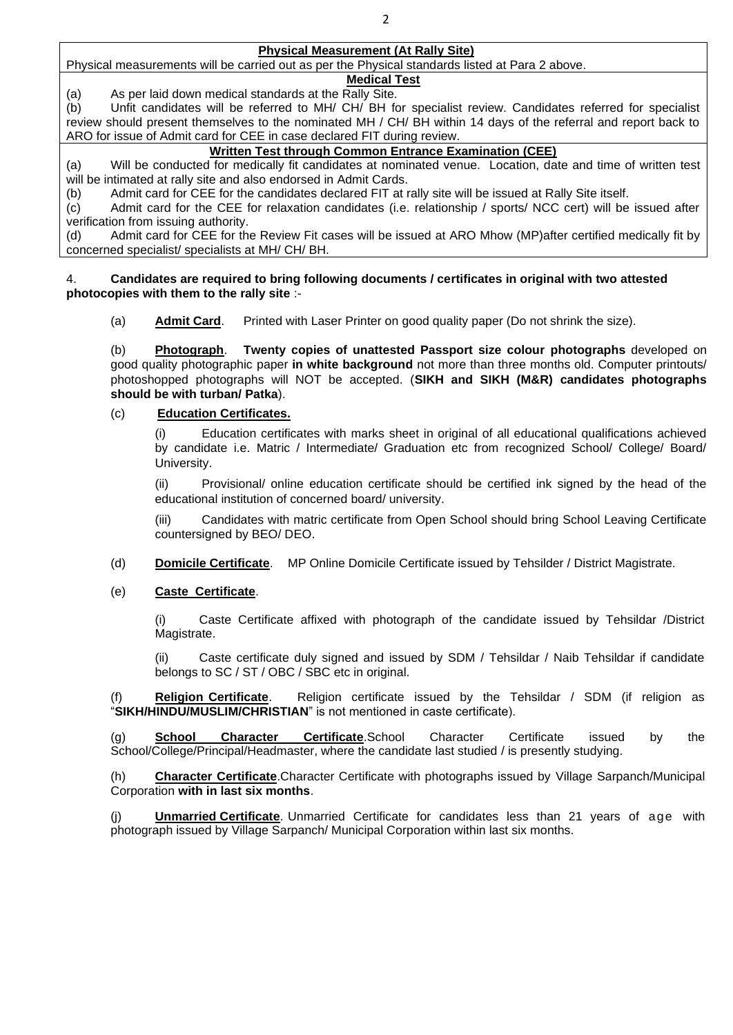#### **Physical Measurement (At Rally Site)**

Physical measurements will be carried out as per the Physical standards listed at Para 2 above.

## **Medical Test**

(a) As per laid down medical standards at the Rally Site.

(b) Unfit candidates will be referred to MH/ CH/ BH for specialist review. Candidates referred for specialist review should present themselves to the nominated MH / CH/ BH within 14 days of the referral and report back to ARO for issue of Admit card for CEE in case declared FIT during review.

### **Written Test through Common Entrance Examination (CEE)**

(a) Will be conducted for medically fit candidates at nominated venue. Location, date and time of written test will be intimated at rally site and also endorsed in Admit Cards.

(b) Admit card for CEE for the candidates declared FIT at rally site will be issued at Rally Site itself.

(c) Admit card for the CEE for relaxation candidates (i.e. relationship / sports/ NCC cert) will be issued after verification from issuing authority.

(d) Admit card for CEE for the Review Fit cases will be issued at ARO Mhow (MP)after certified medically fit by concerned specialist/ specialists at MH/ CH/ BH.

#### 4. **Candidates are required to bring following documents / certificates in original with two attested photocopies with them to the rally site** :-

(a) **Admit Card**. Printed with Laser Printer on good quality paper (Do not shrink the size).

(b) **Photograph**. **Twenty copies of unattested Passport size colour photographs** developed on good quality photographic paper **in white background** not more than three months old. Computer printouts/ photoshopped photographs will NOT be accepted. (**SIKH and SIKH (M&R) candidates photographs should be with turban/ Patka**).

### (c) **Education Certificates.**

(i) Education certificates with marks sheet in original of all educational qualifications achieved by candidate i.e. Matric / Intermediate/ Graduation etc from recognized School/ College/ Board/ University.

(ii) Provisional/ online education certificate should be certified ink signed by the head of the educational institution of concerned board/ university.

(iii) Candidates with matric certificate from Open School should bring School Leaving Certificate countersigned by BEO/ DEO.

(d) **Domicile Certificate**. MP Online Domicile Certificate issued by Tehsilder / District Magistrate.

### (e) **Caste Certificate**.

(i) Caste Certificate affixed with photograph of the candidate issued by Tehsildar /District Magistrate.

(ii) Caste certificate duly signed and issued by SDM / Tehsildar / Naib Tehsildar if candidate belongs to SC / ST / OBC / SBC etc in original.

(f) **Religion Certificate**. Religion certificate issued by the Tehsildar / SDM (if religion as "**SIKH/HINDU/MUSLIM/CHRISTIAN**" is not mentioned in caste certificate).

(g) **School Character Certificate**.School Character Certificate issued by the School/College/Principal/Headmaster, where the candidate last studied / is presently studying.

(h) **Character Certificate**.Character Certificate with photographs issued by Village Sarpanch/Municipal Corporation **with in last six months**.

(j) **Unmarried Certificate**. Unmarried Certificate for candidates less than 21 years of age with photograph issued by Village Sarpanch/ Municipal Corporation within last six months.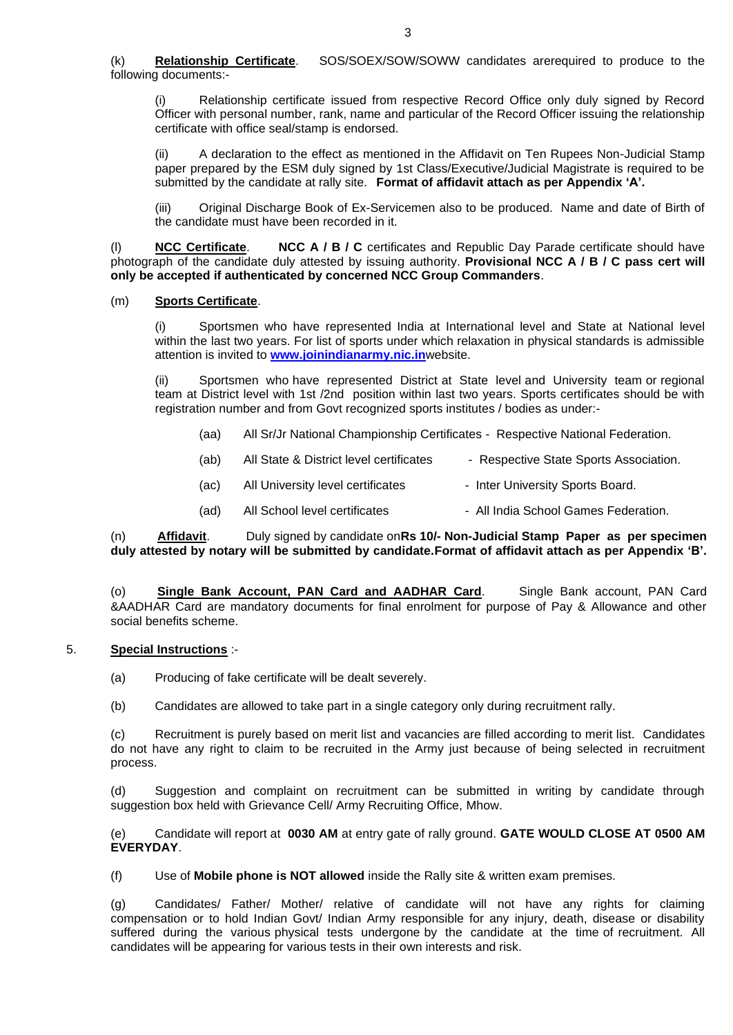(k) **Relationship Certificate**. SOS/SOEX/SOW/SOWW candidates arerequired to produce to the following documents:-

Relationship certificate issued from respective Record Office only duly signed by Record Officer with personal number, rank, name and particular of the Record Officer issuing the relationship certificate with office seal/stamp is endorsed.

(ii) A declaration to the effect as mentioned in the Affidavit on Ten Rupees Non-Judicial Stamp paper prepared by the ESM duly signed by 1st Class/Executive/Judicial Magistrate is required to be submitted by the candidate at rally site. **Format of affidavit attach as per Appendix 'A'.** 

(iii) Original Discharge Book of Ex-Servicemen also to be produced. Name and date of Birth of the candidate must have been recorded in it.

(l) **NCC Certificate**. **NCC A / B / C** certificates and Republic Day Parade certificate should have photograph of the candidate duly attested by issuing authority. **Provisional NCC A / B / C pass cert will only be accepted if authenticated by concerned NCC Group Commanders**.

#### (m) **Sports Certificate**.

Sportsmen who have represented India at International level and State at National level within the last two years. For list of sports under which relaxation in physical standards is admissible attention is invited to **[www.joinindianarmy.nic.in](http://www.joinindianarmy.nic.in/)**website.

(ii) Sportsmen who have represented District at State level and University team or regional team at District level with 1st /2nd position within last two years. Sports certificates should be with registration number and from Govt recognized sports institutes / bodies as under:-

- (aa) All Sr/Jr National Championship Certificates Respective National Federation.
- (ab) All State & District level certificates Respective State Sports Association.
- (ac) All University level certificates Inter University Sports Board.
- (ad) All School level certificates All India School Games Federation.

(n) **Affidavit**. Duly signed by candidate on**Rs 10/- Non-Judicial Stamp Paper as per specimen duly attested by notary will be submitted by candidate.Format of affidavit attach as per Appendix 'B'.** 

(o) **Single Bank Account, PAN Card and AADHAR Card**. Single Bank account, PAN Card &AADHAR Card are mandatory documents for final enrolment for purpose of Pay & Allowance and other social benefits scheme.

#### 5. **Special Instructions** :-

- (a) Producing of fake certificate will be dealt severely.
- (b) Candidates are allowed to take part in a single category only during recruitment rally.

(c) Recruitment is purely based on merit list and vacancies are filled according to merit list. Candidates do not have any right to claim to be recruited in the Army just because of being selected in recruitment process.

(d) Suggestion and complaint on recruitment can be submitted in writing by candidate through suggestion box held with Grievance Cell/ Army Recruiting Office, Mhow.

(e) Candidate will report at **0030 AM** at entry gate of rally ground. **GATE WOULD CLOSE AT 0500 AM EVERYDAY**.

(f) Use of **Mobile phone is NOT allowed** inside the Rally site & written exam premises.

(g) Candidates/ Father/ Mother/ relative of candidate will not have any rights for claiming compensation or to hold Indian Govt/ Indian Army responsible for any injury, death, disease or disability suffered during the various physical tests undergone by the candidate at the time of recruitment. All candidates will be appearing for various tests in their own interests and risk.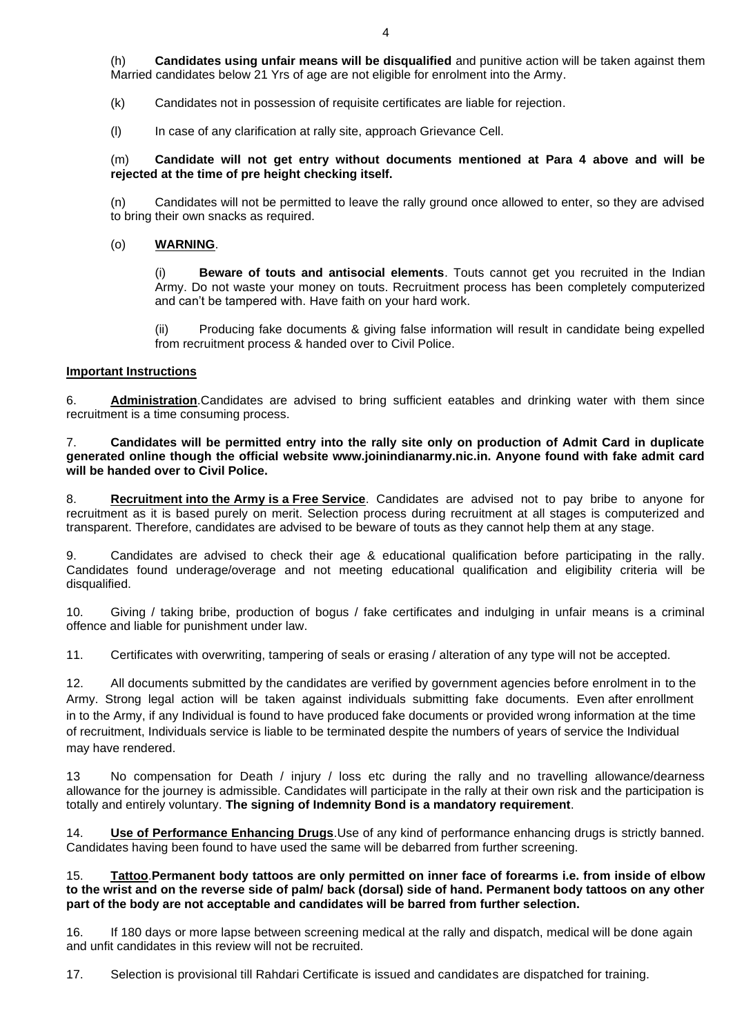(h) **Candidates using unfair means will be disqualified** and punitive action will be taken against them Married candidates below 21 Yrs of age are not eligible for enrolment into the Army.

(k) Candidates not in possession of requisite certificates are liable for rejection.

(l) In case of any clarification at rally site, approach Grievance Cell.

(m) **Candidate will not get entry without documents mentioned at Para 4 above and will be rejected at the time of pre height checking itself.** 

(n) Candidates will not be permitted to leave the rally ground once allowed to enter, so they are advised to bring their own snacks as required.

#### (o) **WARNING**.

(i) **Beware of touts and antisocial elements**. Touts cannot get you recruited in the Indian Army. Do not waste your money on touts. Recruitment process has been completely computerized and can't be tampered with. Have faith on your hard work.

(ii) Producing fake documents & giving false information will result in candidate being expelled from recruitment process & handed over to Civil Police.

#### **Important Instructions**

6. **Administration**.Candidates are advised to bring sufficient eatables and drinking water with them since recruitment is a time consuming process.

#### 7. **Candidates will be permitted entry into the rally site only on production of Admit Card in duplicate generated online though the official website www.joinindianarmy.nic.in. Anyone found with fake admit card will be handed over to Civil Police.**

8. **Recruitment into the Army is a Free Service**. Candidates are advised not to pay bribe to anyone for recruitment as it is based purely on merit. Selection process during recruitment at all stages is computerized and transparent. Therefore, candidates are advised to be beware of touts as they cannot help them at any stage.

9. Candidates are advised to check their age & educational qualification before participating in the rally. Candidates found underage/overage and not meeting educational qualification and eligibility criteria will be disqualified.

10. Giving / taking bribe, production of bogus / fake certificates and indulging in unfair means is a criminal offence and liable for punishment under law.

11. Certificates with overwriting, tampering of seals or erasing / alteration of any type will not be accepted.

12. All documents submitted by the candidates are verified by government agencies before enrolment in to the Army. Strong legal action will be taken against individuals submitting fake documents. Even after enrollment in to the Army, if any Individual is found to have produced fake documents or provided wrong information at the time of recruitment, Individuals service is liable to be terminated despite the numbers of years of service the Individual may have rendered.

13 No compensation for Death / injury / loss etc during the rally and no travelling allowance/dearness allowance for the journey is admissible. Candidates will participate in the rally at their own risk and the participation is totally and entirely voluntary. **The signing of Indemnity Bond is a mandatory requirement**.

14. **Use of Performance Enhancing Drugs**.Use of any kind of performance enhancing drugs is strictly banned. Candidates having been found to have used the same will be debarred from further screening.

#### 15. **Tattoo**.**Permanent body tattoos are only permitted on inner face of forearms i.e. from inside of elbow to the wrist and on the reverse side of palm/ back (dorsal) side of hand. Permanent body tattoos on any other part of the body are not acceptable and candidates will be barred from further selection.**

16. If 180 days or more lapse between screening medical at the rally and dispatch, medical will be done again and unfit candidates in this review will not be recruited.

17. Selection is provisional till Rahdari Certificate is issued and candidates are dispatched for training.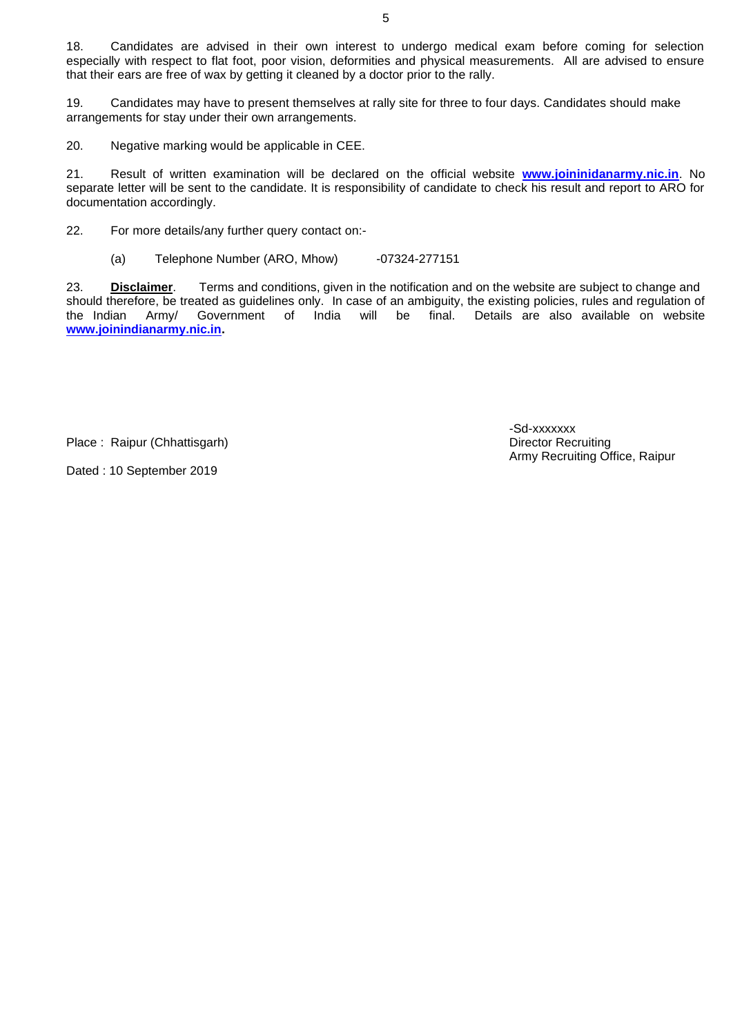18. Candidates are advised in their own interest to undergo medical exam before coming for selection especially with respect to flat foot, poor vision, deformities and physical measurements. All are advised to ensure that their ears are free of wax by getting it cleaned by a doctor prior to the rally.

19. Candidates may have to present themselves at rally site for three to four days. Candidates should make arrangements for stay under their own arrangements.

20. Negative marking would be applicable in CEE.

21. Result of written examination will be declared on the official website **[www.joininidanarmy.nic.in](http://www.joininidanarmy.nic.in/)**. No separate letter will be sent to the candidate. It is responsibility of candidate to check his result and report to ARO for documentation accordingly.

22. For more details/any further query contact on:-

#### (a) Telephone Number (ARO, Mhow) -07324-277151

23. **Disclaimer**. Terms and conditions, given in the notification and on the website are subject to change and should therefore, be treated as guidelines only. In case of an ambiguity, the existing policies, rules and regulation of<br>the Indian Army/ Government of India will be final. Details are also available on website the Indian Army/ Government of India will be final. Details are also available on website **[www.joinindianarmy.nic.in.](http://www.joinindianarmy.nic.in/)**

Place : Raipur (Chhattisgarh) **Director Recruiting** Director Recruiting

Dated : 10 September 2019

-Sd-xxxxxxx Army Recruiting Office, Raipur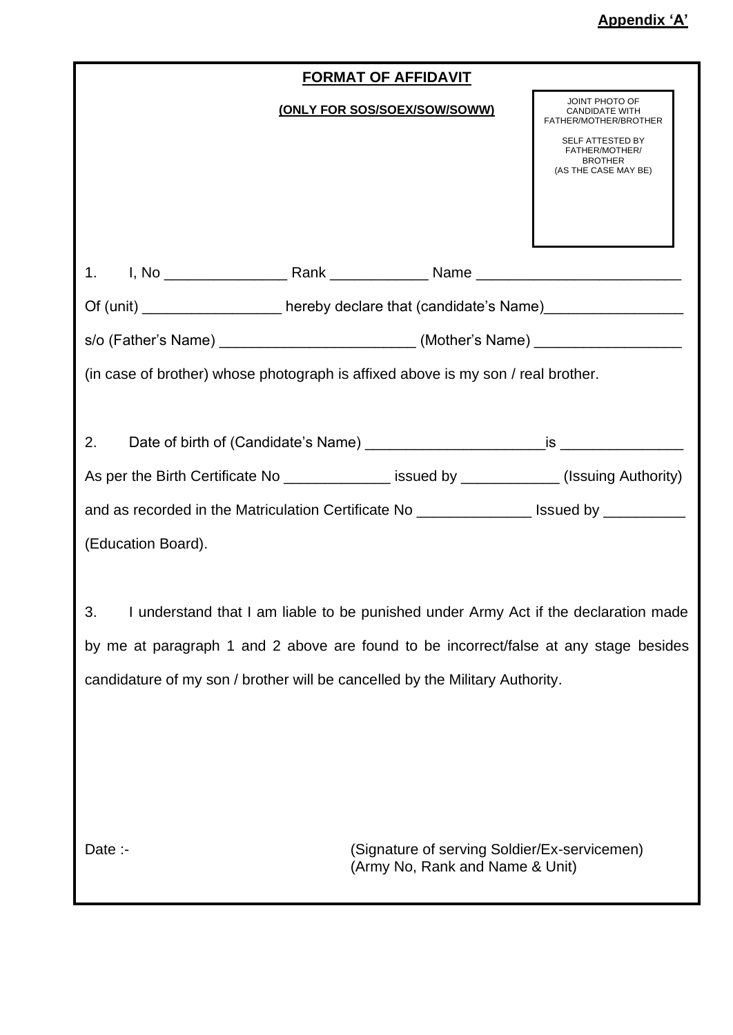|                                                                                           | <b>FORMAT OF AFFIDAVIT</b>                                                      |                                                                              |  |  |  |  |
|-------------------------------------------------------------------------------------------|---------------------------------------------------------------------------------|------------------------------------------------------------------------------|--|--|--|--|
|                                                                                           | (ONLY FOR SOS/SOEX/SOW/SOWW)                                                    | JOINT PHOTO OF<br><b>CANDIDATE WITH</b><br>FATHER/MOTHER/BROTHER             |  |  |  |  |
|                                                                                           |                                                                                 | SELF ATTESTED BY<br>FATHER/MOTHER/<br><b>BROTHER</b><br>(AS THE CASE MAY BE) |  |  |  |  |
|                                                                                           |                                                                                 |                                                                              |  |  |  |  |
|                                                                                           |                                                                                 |                                                                              |  |  |  |  |
| Of (unit) _____________________ hereby declare that (candidate's Name)_________________   |                                                                                 |                                                                              |  |  |  |  |
| s/o (Father's Name) ________________________________(Mother's Name) _____________         |                                                                                 |                                                                              |  |  |  |  |
| (in case of brother) whose photograph is affixed above is my son / real brother.          |                                                                                 |                                                                              |  |  |  |  |
|                                                                                           |                                                                                 |                                                                              |  |  |  |  |
| 2.                                                                                        |                                                                                 |                                                                              |  |  |  |  |
| As per the Birth Certificate No _______________ issued by ____________(Issuing Authority) |                                                                                 |                                                                              |  |  |  |  |
| and as recorded in the Matriculation Certificate No ________________ Issued by __________ |                                                                                 |                                                                              |  |  |  |  |
| (Education Board).                                                                        |                                                                                 |                                                                              |  |  |  |  |
|                                                                                           |                                                                                 |                                                                              |  |  |  |  |
| I understand that I am liable to be punished under Army Act if the declaration made<br>3. |                                                                                 |                                                                              |  |  |  |  |
| by me at paragraph 1 and 2 above are found to be incorrect/false at any stage besides     |                                                                                 |                                                                              |  |  |  |  |
| candidature of my son / brother will be cancelled by the Military Authority.              |                                                                                 |                                                                              |  |  |  |  |
|                                                                                           |                                                                                 |                                                                              |  |  |  |  |
|                                                                                           |                                                                                 |                                                                              |  |  |  |  |
|                                                                                           |                                                                                 |                                                                              |  |  |  |  |
|                                                                                           |                                                                                 |                                                                              |  |  |  |  |
| Date $\therefore$                                                                         | (Signature of serving Soldier/Ex-servicemen)<br>(Army No, Rank and Name & Unit) |                                                                              |  |  |  |  |
|                                                                                           |                                                                                 |                                                                              |  |  |  |  |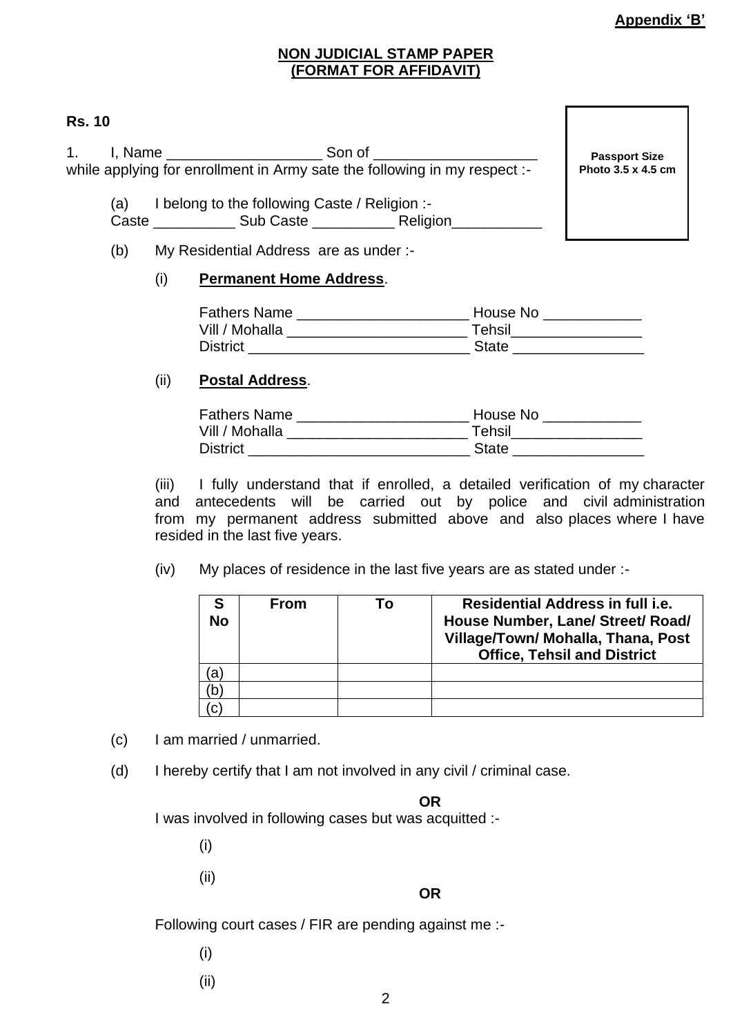# **NON JUDICIAL STAMP PAPER (FORMAT FOR AFFIDAVIT)**

# **Rs. 10**

1. I, Name Son of Zenedicted Son of while applying for enrollment in Army sate the following in my respect :-

(a) I belong to the following Caste / Religion :- Caste \_\_\_\_\_\_\_\_\_\_ Sub Caste \_\_\_\_\_\_\_\_\_\_ Religion\_\_\_\_\_\_\_\_\_\_\_

(b) My Residential Address are as under :-

## (i) **Permanent Home Address**.

| <b>Fathers Name</b> | House No     |
|---------------------|--------------|
| Vill / Mohalla      | Tehsil       |
| <b>District</b>     | <b>State</b> |

# (ii) **Postal Address**.

| <b>Fathers Name</b> | House No     |
|---------------------|--------------|
| Vill / Mohalla      | Tehsil       |
| <b>District</b>     | <b>State</b> |

(iii) I fully understand that if enrolled, a detailed verification of my character and antecedents will be carried out by police and civil administration from my permanent address submitted above and also places where I have resided in the last five years.

(iv) My places of residence in the last five years are as stated under :-

| <b>No</b> | <b>From</b> | То | Residential Address in full <i>i.e.</i><br>House Number, Lane/ Street/ Road/<br>Village/Town/ Mohalla, Thana, Post<br><b>Office, Tehsil and District</b> |
|-----------|-------------|----|----------------------------------------------------------------------------------------------------------------------------------------------------------|
|           |             |    |                                                                                                                                                          |
|           |             |    |                                                                                                                                                          |
|           |             |    |                                                                                                                                                          |

- (c) I am married / unmarried.
- (d) I hereby certify that I am not involved in any civil / criminal case.

## **OR**

I was involved in following cases but was acquitted :-

(i)

(ii)

## **OR**

Following court cases / FIR are pending against me :-

- (i)
- (ii)

**Passport Size Photo 3.5 x 4.5 cm**